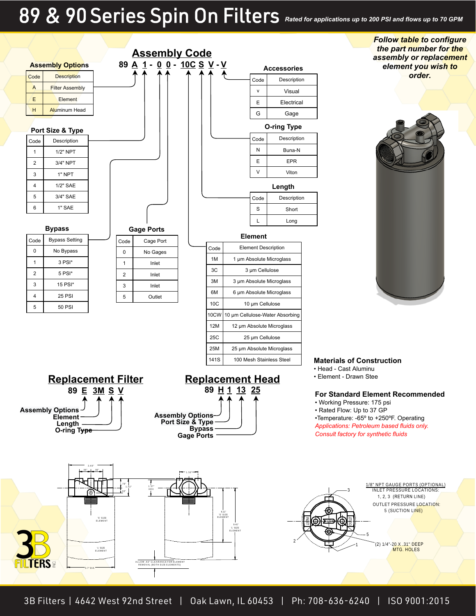# 89 & 90 Series Spin On Filters *Rated for applications up to 200 PSI and flows up to 70 GPM*

|                |                                                                                          |                                                    |             |                   | <b>Assembly Code</b>                                              |                                       |               |                  |                                          |                 |                                 |                                                                                                      |
|----------------|------------------------------------------------------------------------------------------|----------------------------------------------------|-------------|-------------------|-------------------------------------------------------------------|---------------------------------------|---------------|------------------|------------------------------------------|-----------------|---------------------------------|------------------------------------------------------------------------------------------------------|
|                | <b>Assembly Options</b>                                                                  |                                                    |             |                   | 89 <u>A</u> 1 - 0 0 - 10C S V - V                                 |                                       |               |                  |                                          |                 | <b>Accessories</b>              |                                                                                                      |
| Code           | <b>Description</b>                                                                       |                                                    |             |                   |                                                                   |                                       |               |                  |                                          | Code            | Description                     |                                                                                                      |
| A              | <b>Filter Assembly</b>                                                                   |                                                    |             |                   |                                                                   |                                       |               |                  |                                          | ۷               | Visual                          |                                                                                                      |
| Ε              | Element                                                                                  |                                                    |             |                   |                                                                   |                                       |               |                  |                                          | Е               | Electrical                      |                                                                                                      |
| н              | <b>Aluminum Head</b>                                                                     |                                                    |             |                   |                                                                   |                                       |               |                  |                                          | G               | Gage                            |                                                                                                      |
|                |                                                                                          |                                                    |             |                   |                                                                   |                                       |               |                  |                                          |                 | <b>O-ring Type</b>              |                                                                                                      |
| Code           | Port Size & Type<br>Description                                                          |                                                    |             |                   |                                                                   |                                       |               |                  |                                          | Code            | Description                     |                                                                                                      |
| 1              | 1/2" NPT                                                                                 |                                                    |             |                   |                                                                   |                                       |               |                  |                                          | N               | Buna-N                          |                                                                                                      |
| $\overline{2}$ | 3/4" NPT                                                                                 |                                                    |             |                   |                                                                   |                                       |               |                  |                                          | Ε               | EPR                             |                                                                                                      |
| 3              | 1" NPT                                                                                   |                                                    |             |                   |                                                                   |                                       |               |                  |                                          | V               | Viton                           |                                                                                                      |
| 4              | 1/2" SAE                                                                                 |                                                    |             |                   |                                                                   |                                       |               |                  |                                          |                 | Length                          |                                                                                                      |
| 5              | 3/4" SAE                                                                                 |                                                    |             |                   |                                                                   |                                       |               |                  |                                          | Code            | Description                     |                                                                                                      |
| 6              | 1" SAE                                                                                   |                                                    |             |                   |                                                                   |                                       |               |                  |                                          | S               | Short                           |                                                                                                      |
|                |                                                                                          |                                                    |             |                   |                                                                   |                                       |               |                  |                                          | Г               | Long                            |                                                                                                      |
|                | <b>Bypass</b>                                                                            |                                                    |             | <b>Gage Ports</b> |                                                                   |                                       |               |                  |                                          |                 |                                 |                                                                                                      |
| Code           | <b>Bypass Setting</b>                                                                    |                                                    | Code        |                   | Cage Port                                                         |                                       |               |                  |                                          | <b>Element</b>  |                                 |                                                                                                      |
| 0              | No Bypass                                                                                |                                                    | 0           |                   | No Gages                                                          |                                       |               | Code             |                                          |                 | <b>Element Description</b>      |                                                                                                      |
| $\mathbf{1}$   | 3 PSI*                                                                                   |                                                    | 1           |                   | Inlet                                                             |                                       |               | 1M               |                                          |                 | 1 µm Absolute Microglass        |                                                                                                      |
| 2              | 5 PSI*                                                                                   |                                                    | 2           |                   | Inlet                                                             |                                       |               | 3C               |                                          | 3 µm Cellulose  |                                 |                                                                                                      |
| 3              | 15 PSI*                                                                                  |                                                    | 3           |                   | Inlet                                                             |                                       |               | 3M               |                                          |                 | 3 µm Absolute Microglass        |                                                                                                      |
| 4              | <b>25 PSI</b>                                                                            |                                                    | 5           |                   | Outlet                                                            |                                       |               | 6M               |                                          |                 | 6 um Absolute Microglass        |                                                                                                      |
| 5              | <b>50 PSI</b>                                                                            |                                                    |             |                   |                                                                   |                                       |               | 10 <sub>C</sub>  |                                          | 10 µm Cellulose |                                 |                                                                                                      |
|                |                                                                                          |                                                    |             |                   |                                                                   |                                       |               | 10CW             |                                          |                 | 10 µm Cellulose-Water Absorbing |                                                                                                      |
|                |                                                                                          |                                                    |             |                   |                                                                   |                                       |               | 12M              |                                          |                 | 12 um Absolute Microglass       |                                                                                                      |
|                |                                                                                          |                                                    |             |                   |                                                                   |                                       |               | 25C              |                                          | 25 µm Cellulose |                                 |                                                                                                      |
|                |                                                                                          |                                                    |             |                   |                                                                   |                                       |               | 25M              |                                          |                 | 25 µm Absolute Microglass       |                                                                                                      |
|                |                                                                                          |                                                    |             |                   |                                                                   |                                       |               | 141S             |                                          |                 | 100 Mesh Stainless Steel        | <b>Materials</b><br>· Head - Ca                                                                      |
|                | <b>Replacement Filter</b><br><b>Assembly Options</b><br>Element<br>Length<br>O-ring Type | 89 E 3M S V                                        |             |                   | <b>Assembly Options-</b>                                          | Port Size & Type<br><b>Gage Ports</b> | <b>Bypass</b> |                  | <b>Replacement Head</b><br>89 H 1 13 25  |                 |                                 | · Element -<br>For Stan<br>• Working<br>• Rated Flo<br>•Temperat<br><b>Application</b><br>Consult fa |
| <b>TERS</b> ≦  | 3.65'<br>$3.7"$ DIA                                                                      | .96"<br>'S' SIZE<br>ELEMENT<br>'L' SIZE<br>ELEMENT | .79*<br>33" | 1.37<br>HEX       | ALLOW . 63" CLEARANCE FOR ELEMENT<br>REMOVAL (BOTH SIZE ELEMENTS) |                                       |               | 6.11'<br>S' SIZE | $9.41$ <sup>*</sup><br>L'SIZE<br>ELEMENT |                 | $\overline{2}$                  | Θ                                                                                                    |

*Follow table to configure the part number for the assembly or replacement element you wish to order.* 



### **s** of Construction

- ast Aluminu
- Drawn Stee

## **For Standard Element Recommended**

- Pressure: 175 psi
- ow: Up to 37 GP

ture: -65° to +250°F. Operating *Applications: Petroleum based fluids only. Consult factory for synthetic fluids* 

DULET<br>S 3 1 5 1/8" NPT GAUGE PORTS (OPTIONAL) INLET PRESSURE LOCATIONS: OUTLET PRESSURE LOCATION: 1, 2, 3 (RETURN LINE) (2) 1/4"-20 X .31" DEEP MTG. HOLES 5 (SUCTION LINE)